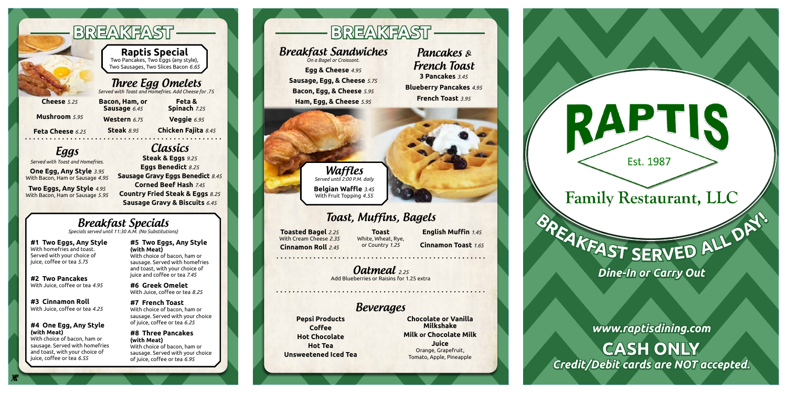# **<sup>B</sup>REAKFAS<sup>T</sup> <sup>S</sup>ERVE<sup>D</sup> <sup>A</sup>L<sup>L</sup> <sup>D</sup>A<sup>Y</sup>**

**!**



## **Waffles** *Served until 2:00 P.M. daily*

*On a Bagel or Croissant.*

Classics

## Beverages

# Toast, Muffins, Bagels

# Oatmeal *2.25*

Add Blueberries or Raisins for 1.25 extra

## Pancakes & French Toast **3 Pancakes** *3.45* **Blueberry Pancakes** *4.95* **French Toast** *3.95*

**Egg & Cheese** *4.95* **Sausage, Egg, & Cheese** *5.75* **Bacon, Egg, & Cheese** *5.95* **Ham, Egg, & Cheese** *5.95*

**Belgian Waffle** *3.45*

With Fruit Topping *4.55*

**Steak & Eggs** *9.25* **Eggs Benedict** *8.25* **Sausage Gravy Eggs Benedict** *8.45* **Corned Beef Hash** *7.45* **Country Fried Steak & Eggs** *8.25* **Sausage Gravy & Biscuits** *6.45*

**Pepsi Products**



**Coffee Hot Chocolate Hot Tea Unsweetened Iced Tea**

**Chocolate or Vanilla Milkshake Milk or Chocolate Milk Juice** Orange, Grapefruit, Tomato, Apple, Pineapple

**Toasted Bagel** *2.25* With Cream Cheese *2.35* **Cinnamon Roll** *2.45*

**Toast**  White, Wheat, Rye, or Country *1.25*

# **English Muffin** *1.45* **Cinnamon Toast** *1.65*

*Dine-In or Carry Out*

*www.raptisdining.com*

**CASH ONLY** *Credit/Debit cards are NOT accepted.*

# Three Egg Omelets

*Served with Toast and Homefries. Add Cheese for .75*

Eggs

*Served with Toast and Homefries.*

# Breakfast Specials *Specials served until 11:30 A.M. (No Substitutions)*

**Cheese** *5.25*

**Mushroom** *5.95*

**Feta Cheese** *6.25*

**Bacon, Ham, or Sausage** *6.45*

**Western** *6.75* **Steak** *8.95*

**Feta & Spinach** *7.25*

**Veggie** *6.95*

**Chicken Fajita** *8.45*

**One Egg, Any Style** *3.95* With Bacon, Ham or Sausage *4.95*

**Two Eggs, Any Style** *4.95* With Bacon, Ham or Sausage *5.95*

**#1 Two Eggs, Any Style**  With homefries and toast. Served with your choice of juice, coffee or tea *5.75*

**#2 Two Pancakes** With Juice, coffee or tea *4.95*

**#3 Cinnamon Roll**  With Juice, coffee or tea *4.25*

## **#4 One Egg, Any Style (with Meat)**

With choice of bacon, ham or sausage. Served with homefries and toast, with your choice of juice, coffee or tea *6.55*

## **#5 Two Eggs, Any Style (with Meat)**

With choice of bacon, ham or sausage. Served with homefries and toast, with your choice of juice and coffee or tea *7.45*

**#6 Greek Omelet**  With Juice, coffee or tea *8.25*

## **#7 French Toast**

With choice of bacon, ham or sausage. Served with your choice of juice, coffee or tea *6.25*

### **#8 Three Pancakes (with Meat)**

With choice of bacon, ham or sausage. Served with your choice of juice, coffee or tea *6.95*

# **BREAKFAST —— NIIIII —— BREAKFAST**

**Raptis Special**  Two Pancakes, Two Eggs (any style), Two Sausages, Two Slices Bacon *6.65*